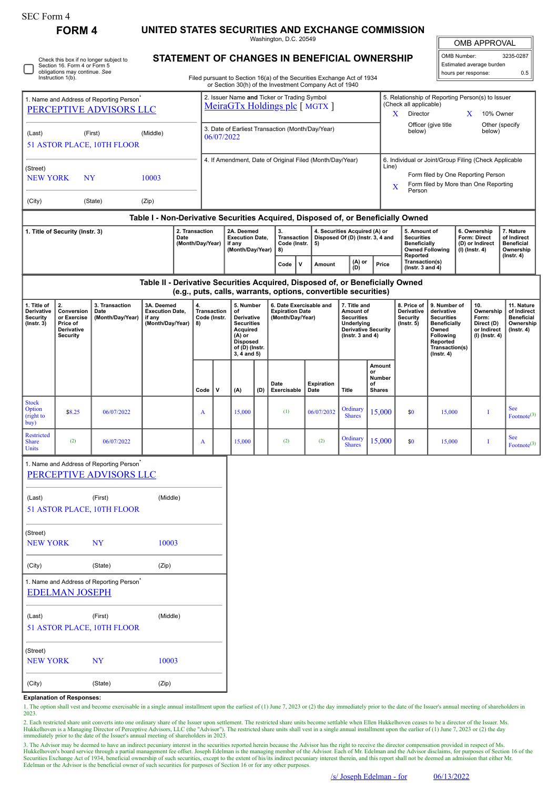| F OF M |  |
|--------|--|
|--------|--|

 $\Box$ 

| <b>FORM 4</b> | UNITED STATES SECURITIES AND EXCHANGE COMMISSION |  |
|---------------|--------------------------------------------------|--|
|               |                                                  |  |

Washington, D.C. 20549

OMB APPROVAL

| OMB Number:<br>3235-0287 |     |  |  |  |  |  |  |  |
|--------------------------|-----|--|--|--|--|--|--|--|
| Estimated average burden |     |  |  |  |  |  |  |  |
| hours per response:      | 0.5 |  |  |  |  |  |  |  |

Check this box if no longer subject to Section 16. Form 4 or Form 5 obligations may continue. *See* Instruction 1(b).

## **STATEMENT OF CHANGES IN BENEFICIAL OWNERSHIP**

Filed pursuant to Section 16(a) of the Securities Exchange Act of 1934 or Section 30(h) of the Investment Company Act of 1940

|                                                                                                                                    |                       | 1. Name and Address of Reporting Person <sup>®</sup><br>PERCEPTIVE ADVISORS LLC |                                                                                  |                                                                    |                                                                |                                                                                                                              |     | 2. Issuer Name and Ticker or Trading Symbol<br>MeiraGTx Holdings plc [ MGTX ] |                                                                                                                                         |                                                                                        |                                                                                                                     | 5. Relationship of Reporting Person(s) to Issuer<br>(Check all applicable)<br>Director<br>X                                                        |                                                                                                                                                | X                                                                 | 10% Owner                                                                |                                                                                 |
|------------------------------------------------------------------------------------------------------------------------------------|-----------------------|---------------------------------------------------------------------------------|----------------------------------------------------------------------------------|--------------------------------------------------------------------|----------------------------------------------------------------|------------------------------------------------------------------------------------------------------------------------------|-----|-------------------------------------------------------------------------------|-----------------------------------------------------------------------------------------------------------------------------------------|----------------------------------------------------------------------------------------|---------------------------------------------------------------------------------------------------------------------|----------------------------------------------------------------------------------------------------------------------------------------------------|------------------------------------------------------------------------------------------------------------------------------------------------|-------------------------------------------------------------------|--------------------------------------------------------------------------|---------------------------------------------------------------------------------|
| (Middle)<br>(First)<br>(Last)<br>51 ASTOR PLACE, 10TH FLOOR                                                                        |                       |                                                                                 |                                                                                  |                                                                    | 3. Date of Earliest Transaction (Month/Day/Year)<br>06/07/2022 |                                                                                                                              |     |                                                                               |                                                                                                                                         |                                                                                        |                                                                                                                     | below)                                                                                                                                             | Officer (give title                                                                                                                            |                                                                   | Other (specify<br>below)                                                 |                                                                                 |
| (Street)<br><b>NEW YORK</b><br><b>NY</b><br>10003                                                                                  |                       |                                                                                 |                                                                                  |                                                                    | 4. If Amendment, Date of Original Filed (Month/Day/Year)       |                                                                                                                              |     |                                                                               |                                                                                                                                         |                                                                                        |                                                                                                                     | 6. Individual or Joint/Group Filing (Check Applicable<br>Line)<br>Form filed by One Reporting Person<br>Form filed by More than One Reporting<br>X |                                                                                                                                                |                                                                   |                                                                          |                                                                                 |
| (City)<br>(State)<br>(Zip)                                                                                                         |                       |                                                                                 |                                                                                  |                                                                    |                                                                |                                                                                                                              |     |                                                                               |                                                                                                                                         |                                                                                        |                                                                                                                     | Person                                                                                                                                             |                                                                                                                                                |                                                                   |                                                                          |                                                                                 |
|                                                                                                                                    |                       |                                                                                 | Table I - Non-Derivative Securities Acquired, Disposed of, or Beneficially Owned |                                                                    |                                                                |                                                                                                                              |     | 3.                                                                            |                                                                                                                                         |                                                                                        |                                                                                                                     |                                                                                                                                                    |                                                                                                                                                |                                                                   |                                                                          | 7. Nature                                                                       |
| 2. Transaction<br>1. Title of Security (Instr. 3)<br>Date<br>(Month/Day/Year)                                                      |                       |                                                                                 |                                                                                  | 2A. Deemed<br><b>Execution Date,</b><br>if any<br>(Month/Day/Year) |                                                                | Transaction<br>Code (Instr.<br>8)                                                                                            | 5)  | 4. Securities Acquired (A) or<br>Disposed Of (D) (Instr. 3, 4 and             |                                                                                                                                         | 5. Amount of<br><b>Securities</b><br><b>Beneficially</b><br>Reported<br>Transaction(s) | <b>Owned Following</b>                                                                                              |                                                                                                                                                    | 6. Ownership<br>Form: Direct<br>(D) or Indirect<br>(I) (Instr. 4)                                                                              | of Indirect<br><b>Beneficial</b><br>Ownership<br>$($ Instr. 4 $)$ |                                                                          |                                                                                 |
|                                                                                                                                    |                       |                                                                                 | Table II - Derivative Securities Acquired, Disposed of, or Beneficially Owned    |                                                                    |                                                                |                                                                                                                              |     | ۱v<br>Code                                                                    | Amount                                                                                                                                  | (A) or<br>(D)                                                                          | Price                                                                                                               | (Instr. $3$ and $4$ )                                                                                                                              |                                                                                                                                                |                                                                   |                                                                          |                                                                                 |
| 2.<br>1. Title of<br>Derivative<br>Conversion<br>Security<br>or Exercise<br>$($ Instr. 3 $)$<br>Price of<br>Derivative<br>Security |                       | 3. Transaction<br>Date<br>(Month/Day/Year)                                      | 3A. Deemed<br><b>Execution Date,</b><br>if any<br>(Month/Day/Year)               | 4.<br>8)                                                           | Transaction<br>Code (Instr.                                    | 5. Number<br>of<br>Derivative<br><b>Securities</b><br>Acquired<br>(A) or<br><b>Disposed</b><br>of (D) (Instr.<br>3, 4 and 5) |     |                                                                               | (e.g., puts, calls, warrants, options, convertible securities)<br>6. Date Exercisable and<br><b>Expiration Date</b><br>(Month/Day/Year) |                                                                                        | 7. Title and<br>Amount of<br><b>Securities</b><br>Underlying<br><b>Derivative Security</b><br>(Instr. $3$ and $4$ ) | 8. Price of<br>Derivative<br><b>Security</b><br>$($ Instr. 5 $)$                                                                                   | 9. Number of<br>derivative<br><b>Securities</b><br><b>Beneficially</b><br>Owned<br>Following<br>Reported<br>Transaction(s)<br>$($ Instr. 4 $)$ |                                                                   | 10.<br>Ownership<br>Form:<br>Direct (D)<br>or Indirect<br>(I) (Instr. 4) | 11. Nature<br>of Indirect<br><b>Beneficial</b><br>Ownership<br>$($ Instr. 4 $)$ |
|                                                                                                                                    |                       |                                                                                 |                                                                                  | Code                                                               | v                                                              | (A)                                                                                                                          | (D) | Date<br>Exercisable                                                           | <b>Expiration</b><br>Date                                                                                                               | <b>Title</b>                                                                           | Amount<br>or<br>Number<br>of<br><b>Shares</b>                                                                       |                                                                                                                                                    |                                                                                                                                                |                                                                   |                                                                          |                                                                                 |
| <b>Stock</b><br>Option<br>(right to<br>buy)                                                                                        | \$8.25                | 06/07/2022                                                                      |                                                                                  | A                                                                  |                                                                | 15,000                                                                                                                       |     | (1)                                                                           | 06/07/2032                                                                                                                              | Ordinary<br><b>Shares</b>                                                              | 15,000                                                                                                              | \$0                                                                                                                                                | 15,000                                                                                                                                         |                                                                   | Ι                                                                        | See<br>Footnote <sup>(3)</sup>                                                  |
| <b>Restricted</b><br><b>Share</b><br><b>Units</b>                                                                                  | (2)                   | 06/07/2022                                                                      |                                                                                  | A                                                                  |                                                                | 15,000                                                                                                                       |     | (2)                                                                           | (2)                                                                                                                                     | Ordinary<br><b>Shares</b>                                                              | 15,000                                                                                                              | \$0                                                                                                                                                | 15,000                                                                                                                                         |                                                                   | I                                                                        | <b>See</b><br>Footnote <sup>(3)</sup>                                           |
|                                                                                                                                    |                       | 1. Name and Address of Reporting Person <sup>*</sup><br>PERCEPTIVE ADVISORS LLC |                                                                                  |                                                                    |                                                                |                                                                                                                              |     |                                                                               |                                                                                                                                         |                                                                                        |                                                                                                                     |                                                                                                                                                    |                                                                                                                                                |                                                                   |                                                                          |                                                                                 |
| (Last)                                                                                                                             |                       | (First)<br>51 ASTOR PLACE, 10TH FLOOR                                           | (Middle)                                                                         |                                                                    |                                                                |                                                                                                                              |     |                                                                               |                                                                                                                                         |                                                                                        |                                                                                                                     |                                                                                                                                                    |                                                                                                                                                |                                                                   |                                                                          |                                                                                 |
| (Street)<br><b>NEW YORK</b>                                                                                                        |                       | NY                                                                              | 10003                                                                            |                                                                    |                                                                |                                                                                                                              |     |                                                                               |                                                                                                                                         |                                                                                        |                                                                                                                     |                                                                                                                                                    |                                                                                                                                                |                                                                   |                                                                          |                                                                                 |
| (City)                                                                                                                             |                       | (State)                                                                         | (Zip)                                                                            |                                                                    |                                                                |                                                                                                                              |     |                                                                               |                                                                                                                                         |                                                                                        |                                                                                                                     |                                                                                                                                                    |                                                                                                                                                |                                                                   |                                                                          |                                                                                 |
|                                                                                                                                    | <b>EDELMAN JOSEPH</b> | 1. Name and Address of Reporting Person <sup>*</sup>                            |                                                                                  |                                                                    |                                                                |                                                                                                                              |     |                                                                               |                                                                                                                                         |                                                                                        |                                                                                                                     |                                                                                                                                                    |                                                                                                                                                |                                                                   |                                                                          |                                                                                 |
| (Last)                                                                                                                             |                       | (First)<br>51 ASTOR PLACE, 10TH FLOOR                                           | (Middle)                                                                         |                                                                    |                                                                |                                                                                                                              |     |                                                                               |                                                                                                                                         |                                                                                        |                                                                                                                     |                                                                                                                                                    |                                                                                                                                                |                                                                   |                                                                          |                                                                                 |
| (Street)<br><b>NEW YORK</b>                                                                                                        |                       | NY                                                                              | 10003                                                                            |                                                                    |                                                                |                                                                                                                              |     |                                                                               |                                                                                                                                         |                                                                                        |                                                                                                                     |                                                                                                                                                    |                                                                                                                                                |                                                                   |                                                                          |                                                                                 |

**Explanation of Responses:**

(City) (State) (Zip)

1. The option shall vest and become exercisable in a single annual installment upon the earliest of (1) June 7, 2023 or (2) the day immediately prior to the date of the Issuer's annual meeting of shareholders in 2023.

2. Each restricted share unit converts into one ordinary share of the Issuer upon settlement. The restricted share units become settlable when Ellen Hukkelhoven ceases to be a director of the Issuer. Ms.<br>Hukkelhoven is a M

3. The Advisor may be deemed to have an indirect pecuniary interest in the securities reported herein because the Advisor has the right to receive the director compensation provided in respect of Ms. Hukkelhoven's board service through a partial management fee offset. Joseph Edelman is the managing member of the Advisor. Each of Mr. Edelman and the Advisor disclaims, for purposes of Section 16 of the<br>Securities Exchang